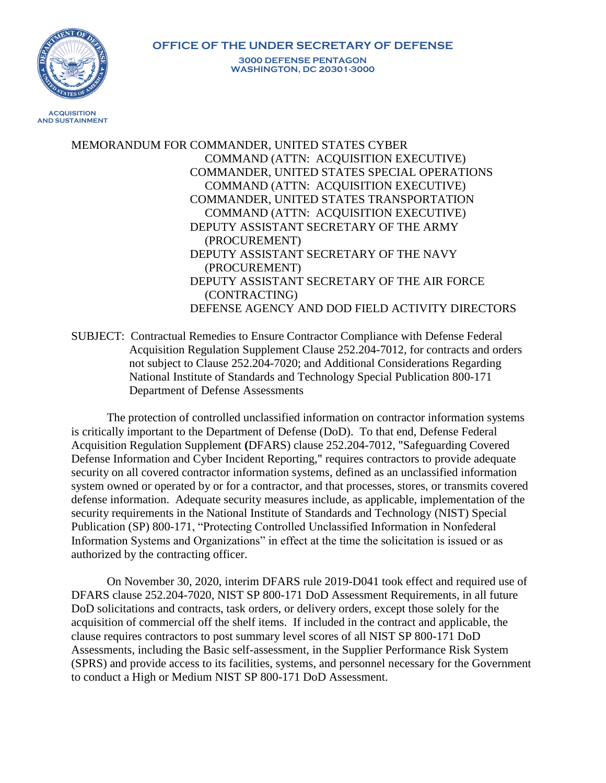

MEMORANDUM FOR COMMANDER, UNITED STATES CYBER COMMAND (ATTN: ACQUISITION EXECUTIVE) COMMANDER, UNITED STATES SPECIAL OPERATIONS COMMAND (ATTN: ACQUISITION EXECUTIVE) COMMANDER, UNITED STATES TRANSPORTATION COMMAND (ATTN: ACQUISITION EXECUTIVE) DEPUTY ASSISTANT SECRETARY OF THE ARMY (PROCUREMENT) DEPUTY ASSISTANT SECRETARY OF THE NAVY (PROCUREMENT) DEPUTY ASSISTANT SECRETARY OF THE AIR FORCE (CONTRACTING) DEFENSE AGENCY AND DOD FIELD ACTIVITY DIRECTORS

SUBJECT: Contractual Remedies to Ensure Contractor Compliance with Defense Federal Acquisition Regulation Supplement Clause 252.204-7012, for contracts and orders not subject to Clause 252.204-7020; and Additional Considerations Regarding National Institute of Standards and Technology Special Publication 800-171 Department of Defense Assessments

The protection of controlled unclassified information on contractor information systems is critically important to the Department of Defense (DoD). To that end, Defense Federal Acquisition Regulation Supplement **(**DFARS) clause 252.204-7012, "Safeguarding Covered Defense Information and Cyber Incident Reporting," requires contractors to provide adequate security on all covered contractor information systems, defined as an unclassified information system owned or operated by or for a contractor, and that processes, stores, or transmits covered defense information. Adequate security measures include, as applicable, implementation of the security requirements in the National Institute of Standards and Technology (NIST) Special Publication (SP) 800-171, "Protecting Controlled Unclassified Information in Nonfederal Information Systems and Organizations" in effect at the time the solicitation is issued or as authorized by the contracting officer.

On November 30, 2020, interim DFARS rule 2019-D041 took effect and required use of DFARS clause 252.204-7020, NIST SP 800-171 DoD Assessment Requirements, in all future DoD solicitations and contracts, task orders, or delivery orders, except those solely for the acquisition of commercial off the shelf items. If included in the contract and applicable, the clause requires contractors to post summary level scores of all NIST SP 800-171 DoD Assessments, including the Basic self-assessment, in the Supplier Performance Risk System (SPRS) and provide access to its facilities, systems, and personnel necessary for the Government to conduct a High or Medium NIST SP 800-171 DoD Assessment.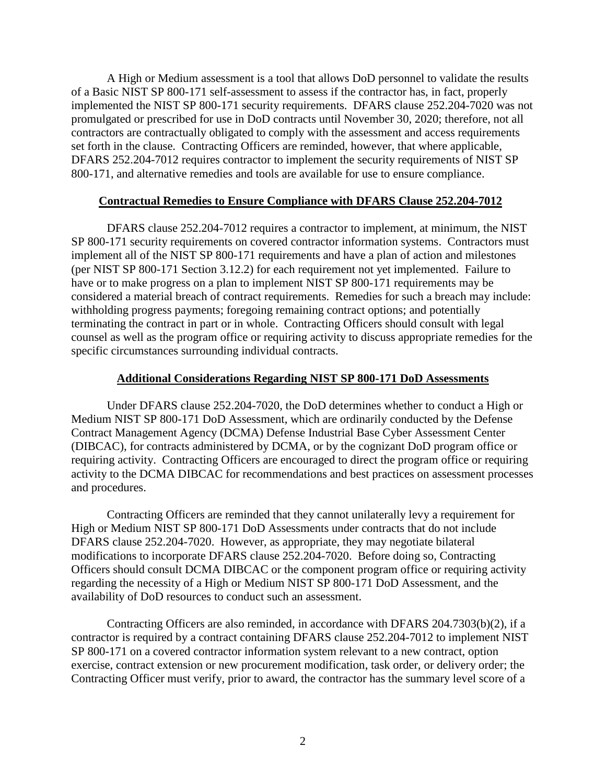A High or Medium assessment is a tool that allows DoD personnel to validate the results of a Basic NIST SP 800-171 self-assessment to assess if the contractor has, in fact, properly implemented the NIST SP 800-171 security requirements. DFARS clause 252.204-7020 was not promulgated or prescribed for use in DoD contracts until November 30, 2020; therefore, not all contractors are contractually obligated to comply with the assessment and access requirements set forth in the clause. Contracting Officers are reminded, however, that where applicable, DFARS 252.204-7012 requires contractor to implement the security requirements of NIST SP 800-171, and alternative remedies and tools are available for use to ensure compliance.

## **Contractual Remedies to Ensure Compliance with DFARS Clause 252.204-7012**

DFARS clause 252.204-7012 requires a contractor to implement, at minimum, the NIST SP 800-171 security requirements on covered contractor information systems. Contractors must implement all of the NIST SP 800-171 requirements and have a plan of action and milestones (per NIST SP 800-171 Section 3.12.2) for each requirement not yet implemented. Failure to have or to make progress on a plan to implement NIST SP 800-171 requirements may be considered a material breach of contract requirements. Remedies for such a breach may include: withholding progress payments; foregoing remaining contract options; and potentially terminating the contract in part or in whole. Contracting Officers should consult with legal counsel as well as the program office or requiring activity to discuss appropriate remedies for the specific circumstances surrounding individual contracts.

## **Additional Considerations Regarding NIST SP 800-171 DoD Assessments**

Under DFARS clause 252.204-7020, the DoD determines whether to conduct a High or Medium NIST SP 800-171 DoD Assessment, which are ordinarily conducted by the Defense Contract Management Agency (DCMA) Defense Industrial Base Cyber Assessment Center (DIBCAC), for contracts administered by DCMA, or by the cognizant DoD program office or requiring activity. Contracting Officers are encouraged to direct the program office or requiring activity to the DCMA DIBCAC for recommendations and best practices on assessment processes and procedures.

Contracting Officers are reminded that they cannot unilaterally levy a requirement for High or Medium NIST SP 800-171 DoD Assessments under contracts that do not include DFARS clause 252.204-7020. However, as appropriate, they may negotiate bilateral modifications to incorporate DFARS clause 252.204-7020. Before doing so, Contracting Officers should consult DCMA DIBCAC or the component program office or requiring activity regarding the necessity of a High or Medium NIST SP 800-171 DoD Assessment, and the availability of DoD resources to conduct such an assessment.

Contracting Officers are also reminded, in accordance with DFARS 204.7303(b)(2), if a contractor is required by a contract containing DFARS clause 252.204-7012 to implement NIST SP 800-171 on a covered contractor information system relevant to a new contract, option exercise, contract extension or new procurement modification, task order, or delivery order; the Contracting Officer must verify, prior to award, the contractor has the summary level score of a